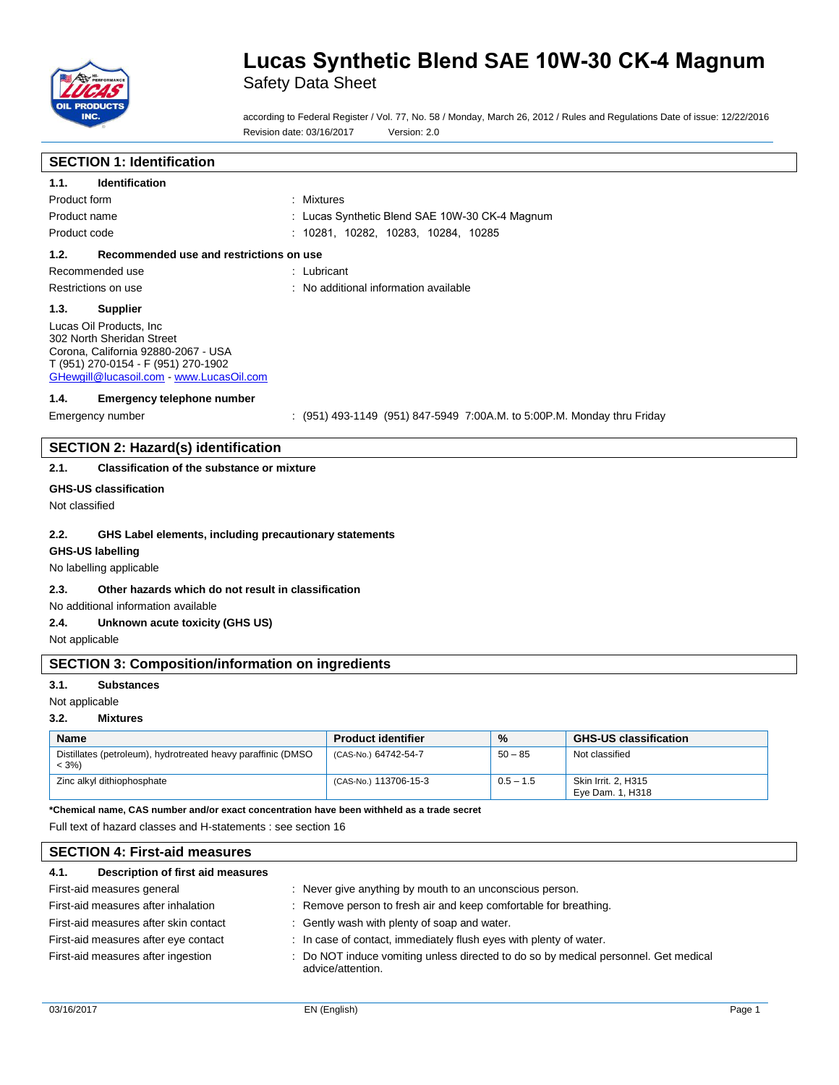

Safety Data Sheet

according to Federal Register / Vol. 77, No. 58 / Monday, March 26, 2012 / Rules and Regulations Date of issue: 12/22/2016 Revision date: 03/16/2017 Version: 2.0

## **SECTION 1: Identification**

| 1.1.           | Identification                                                                                                                                                                |                                                                         |
|----------------|-------------------------------------------------------------------------------------------------------------------------------------------------------------------------------|-------------------------------------------------------------------------|
| Product form   |                                                                                                                                                                               | : Mixtures                                                              |
| Product name   |                                                                                                                                                                               | : Lucas Synthetic Blend SAE 10W-30 CK-4 Magnum                          |
| Product code   |                                                                                                                                                                               | : 10281, 10282, 10283, 10284, 10285                                     |
| 1.2.           | Recommended use and restrictions on use                                                                                                                                       |                                                                         |
|                | Recommended use                                                                                                                                                               | : Lubricant                                                             |
|                | Restrictions on use                                                                                                                                                           | : No additional information available                                   |
| 1.3.           | <b>Supplier</b>                                                                                                                                                               |                                                                         |
|                | Lucas Oil Products, Inc.<br>302 North Sheridan Street<br>Corona, California 92880-2067 - USA<br>T (951) 270-0154 - F (951) 270-1902<br>GHewgill@lucasoil.com www.LucasOil.com |                                                                         |
| 1.4.           | <b>Emergency telephone number</b>                                                                                                                                             |                                                                         |
|                | Emergency number                                                                                                                                                              | : (951) 493-1149 (951) 847-5949 7:00A.M. to 5:00P.M. Monday thru Friday |
|                |                                                                                                                                                                               |                                                                         |
|                | <b>SECTION 2: Hazard(s) identification</b>                                                                                                                                    |                                                                         |
| 2.1.           | <b>Classification of the substance or mixture</b>                                                                                                                             |                                                                         |
|                | <b>GHS-US classification</b>                                                                                                                                                  |                                                                         |
| Not classified |                                                                                                                                                                               |                                                                         |
| 2.2.           | GHS Label elements, including precautionary statements<br><b>GHS-US labelling</b><br>No labelling applicable                                                                  |                                                                         |
| 2.3.           | Other hazards which do not result in classification                                                                                                                           |                                                                         |

No additional information available

#### **2.4. Unknown acute toxicity (GHS US)**

Not applicable

### **SECTION 3: Composition/information on ingredients**

#### **3.1. Substances**

Not applicable

#### **3.2. Mixtures**

| <b>Name</b>                                                              | <b>Product identifier</b> | $\%$        | <b>GHS-US classification</b>            |
|--------------------------------------------------------------------------|---------------------------|-------------|-----------------------------------------|
| Distillates (petroleum), hydrotreated heavy paraffinic (DMSO<br>$< 3\%)$ | (CAS-No.) 64742-54-7      | $50 - 85$   | Not classified                          |
| Zinc alkyl dithiophosphate                                               | (CAS-No.) 113706-15-3     | $0.5 - 1.5$ | Skin Irrit, 2, H315<br>Eve Dam. 1. H318 |

**\*Chemical name, CAS number and/or exact concentration have been withheld as a trade secret**

Full text of hazard classes and H-statements : see section 16

## **SECTION 4: First-aid measures 4.1. Description of first aid measures**

### First-aid measures general interest in the series of the Never give anything by mouth to an unconscious person. First-aid measures after inhalation : Remove person to fresh air and keep comfortable for breathing. First-aid measures after skin contact : Gently wash with plenty of soap and water. First-aid measures after eye contact : In case of contact, immediately flush eyes with plenty of water.

First-aid measures after ingestion : Do NOT induce vomiting unless directed to do so by medical personnel. Get medical advice/attention.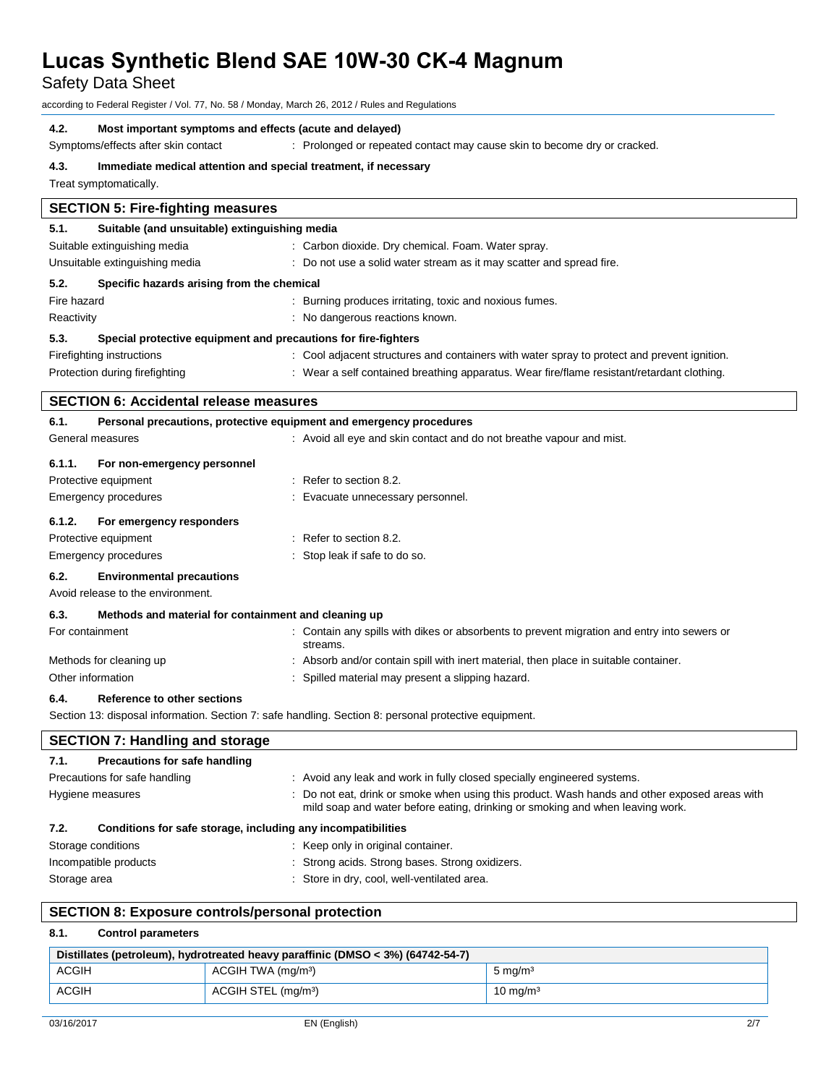Safety Data Sheet

according to Federal Register / Vol. 77, No. 58 / Monday, March 26, 2012 / Rules and Regulations

#### **4.2. Most important symptoms and effects (acute and delayed)**

Symptoms/effects after skin contact : Prolonged or repeated contact may cause skin to become dry or cracked.

#### **4.3. Immediate medical attention and special treatment, if necessary**

Treat symptomatically.

| <b>SECTION 5: Fire-fighting measures</b> |                                                                     |                                                                                                         |  |  |
|------------------------------------------|---------------------------------------------------------------------|---------------------------------------------------------------------------------------------------------|--|--|
| 5.1.                                     | Suitable (and unsuitable) extinguishing media                       |                                                                                                         |  |  |
| Suitable extinguishing media             |                                                                     | : Carbon dioxide. Dry chemical. Foam. Water spray.                                                      |  |  |
| Unsuitable extinguishing media           |                                                                     | : Do not use a solid water stream as it may scatter and spread fire.                                    |  |  |
| 5.2.                                     | Specific hazards arising from the chemical                          |                                                                                                         |  |  |
| Fire hazard                              |                                                                     | : Burning produces irritating, toxic and noxious fumes.                                                 |  |  |
| Reactivity                               |                                                                     | : No dangerous reactions known.                                                                         |  |  |
| 5.3.                                     | Special protective equipment and precautions for fire-fighters      |                                                                                                         |  |  |
|                                          | Firefighting instructions                                           | : Cool adjacent structures and containers with water spray to protect and prevent ignition.             |  |  |
|                                          | Protection during firefighting                                      | : Wear a self contained breathing apparatus. Wear fire/flame resistant/retardant clothing.              |  |  |
|                                          | <b>SECTION 6: Accidental release measures</b>                       |                                                                                                         |  |  |
| 6.1.                                     | Personal precautions, protective equipment and emergency procedures |                                                                                                         |  |  |
|                                          | General measures                                                    | : Avoid all eye and skin contact and do not breathe vapour and mist.                                    |  |  |
| 6.1.1.                                   | For non-emergency personnel                                         |                                                                                                         |  |  |
|                                          | Protective equipment                                                | $\therefore$ Refer to section 8.2.                                                                      |  |  |
|                                          | Emergency procedures                                                | : Evacuate unnecessary personnel.                                                                       |  |  |
| 6.1.2.                                   | For emergency responders                                            |                                                                                                         |  |  |
|                                          | Protective equipment                                                | $:$ Refer to section 8.2.                                                                               |  |  |
|                                          | Emergency procedures                                                | : Stop leak if safe to do so.                                                                           |  |  |
| 6.2.                                     | <b>Environmental precautions</b>                                    |                                                                                                         |  |  |
|                                          | Avoid release to the environment.                                   |                                                                                                         |  |  |
| 6.3.                                     | Methods and material for containment and cleaning up                |                                                                                                         |  |  |
| For containment                          |                                                                     | : Contain any spills with dikes or absorbents to prevent migration and entry into sewers or<br>streams. |  |  |
|                                          | Methods for cleaning up                                             | : Absorb and/or contain spill with inert material, then place in suitable container.                    |  |  |
| Other information                        |                                                                     | Spilled material may present a slipping hazard.                                                         |  |  |
|                                          |                                                                     |                                                                                                         |  |  |

### **6.4. Reference to other sections**

Section 13: disposal information. Section 7: safe handling. Section 8: personal protective equipment.

| <b>SECTION 7: Handling and storage</b>                               |                                                                                                                                                                                |  |
|----------------------------------------------------------------------|--------------------------------------------------------------------------------------------------------------------------------------------------------------------------------|--|
| Precautions for safe handling<br>7.1.                                |                                                                                                                                                                                |  |
| Precautions for safe handling                                        | : Avoid any leak and work in fully closed specially engineered systems.                                                                                                        |  |
| Hygiene measures                                                     | : Do not eat, drink or smoke when using this product. Wash hands and other exposed areas with<br>mild soap and water before eating, drinking or smoking and when leaving work. |  |
| Conditions for safe storage, including any incompatibilities<br>7.2. |                                                                                                                                                                                |  |
| Storage conditions                                                   | : Keep only in original container.                                                                                                                                             |  |
| Incompatible products                                                | : Strong acids. Strong bases. Strong oxidizers.                                                                                                                                |  |
| Storage area                                                         | Store in dry, cool, well-ventilated area.                                                                                                                                      |  |

#### **SECTION 8: Exposure controls/personal protection**

### **8.1. Control parameters**

| Distillates (petroleum), hydrotreated heavy paraffinic (DMSO < $3\%$ ) (64742-54-7) |                                 |                    |
|-------------------------------------------------------------------------------------|---------------------------------|--------------------|
| ACGIH                                                                               | ACGIH TWA (mg/m <sup>3</sup> )  | $5 \text{ mg/m}^3$ |
| ACGIH                                                                               | ACGIH STEL (mg/m <sup>3</sup> ) | 10 mg/m $3$        |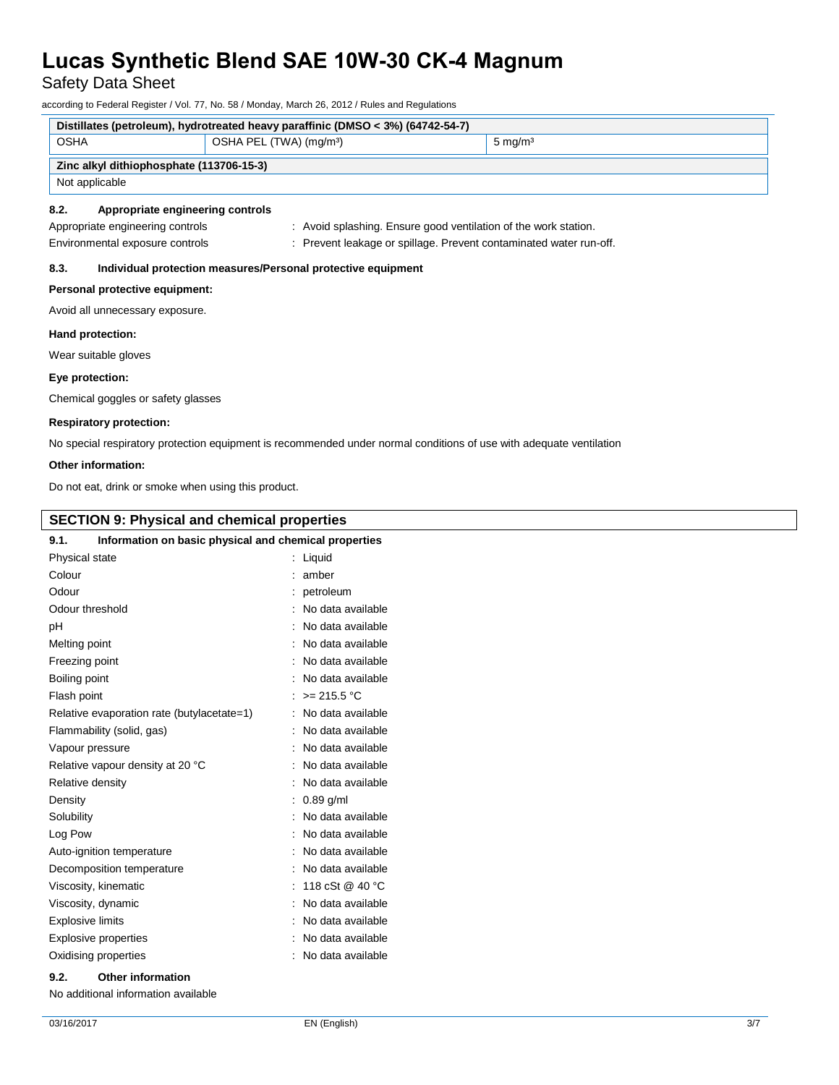Safety Data Sheet

according to Federal Register / Vol. 77, No. 58 / Monday, March 26, 2012 / Rules and Regulations

| Distillates (petroleum), hydrotreated heavy paraffinic (DMSO < 3%) (64742-54-7) |                                     |                                                                    |  |  |
|---------------------------------------------------------------------------------|-------------------------------------|--------------------------------------------------------------------|--|--|
| <b>OSHA</b>                                                                     | OSHA PEL (TWA) (mg/m <sup>3</sup> ) | $5 \text{ mg/m}^3$                                                 |  |  |
| Zinc alkyl dithiophosphate (113706-15-3)                                        |                                     |                                                                    |  |  |
| Not applicable                                                                  |                                     |                                                                    |  |  |
| Appropriate engineering controls<br>8.2.                                        |                                     |                                                                    |  |  |
| Appropriate engineering controls                                                |                                     | : Avoid splashing. Ensure good ventilation of the work station.    |  |  |
| Environmental exposure controls                                                 |                                     | : Prevent leakage or spillage. Prevent contaminated water run-off. |  |  |
| Individual protection measures/Personal protective equipment<br>8.3.            |                                     |                                                                    |  |  |
| Personal protective equipment:                                                  |                                     |                                                                    |  |  |
| Avoid all unnecessary exposure.                                                 |                                     |                                                                    |  |  |
| Hand protection:                                                                |                                     |                                                                    |  |  |
| Wear suitable gloves                                                            |                                     |                                                                    |  |  |

### **Eye protection:**

Chemical goggles or safety glasses

#### **Respiratory protection:**

No special respiratory protection equipment is recommended under normal conditions of use with adequate ventilation

#### **Other information:**

Do not eat, drink or smoke when using this product.

### **SECTION 9: Physical and chemical properties**

| Information on basic physical and chemical properties<br>9.1. |                   |
|---------------------------------------------------------------|-------------------|
| Physical state                                                | : Liquid          |
| Colour                                                        | amber             |
| Odour                                                         | petroleum         |
| Odour threshold                                               | No data available |
| рH                                                            | No data available |
| Melting point                                                 | No data available |
| Freezing point                                                | No data available |
| Boiling point                                                 | No data available |
| Flash point                                                   | : $> = 215.5$ °C  |
| Relative evaporation rate (butylacetate=1)                    | No data available |
| Flammability (solid, gas)                                     | No data available |
| Vapour pressure                                               | No data available |
| Relative vapour density at 20 °C                              | No data available |
| Relative density                                              | No data available |
| Density                                                       | $: 0.89$ q/ml     |
| Solubility                                                    | No data available |
| Log Pow                                                       | No data available |
| Auto-ignition temperature                                     | No data available |
| Decomposition temperature                                     | No data available |
| Viscosity, kinematic                                          | 118 cSt @ 40 °C   |
| Viscosity, dynamic                                            | No data available |
| <b>Explosive limits</b>                                       | No data available |
| <b>Explosive properties</b>                                   | No data available |
| Oxidising properties                                          | No data available |

#### **9.2. Other information**

No additional information available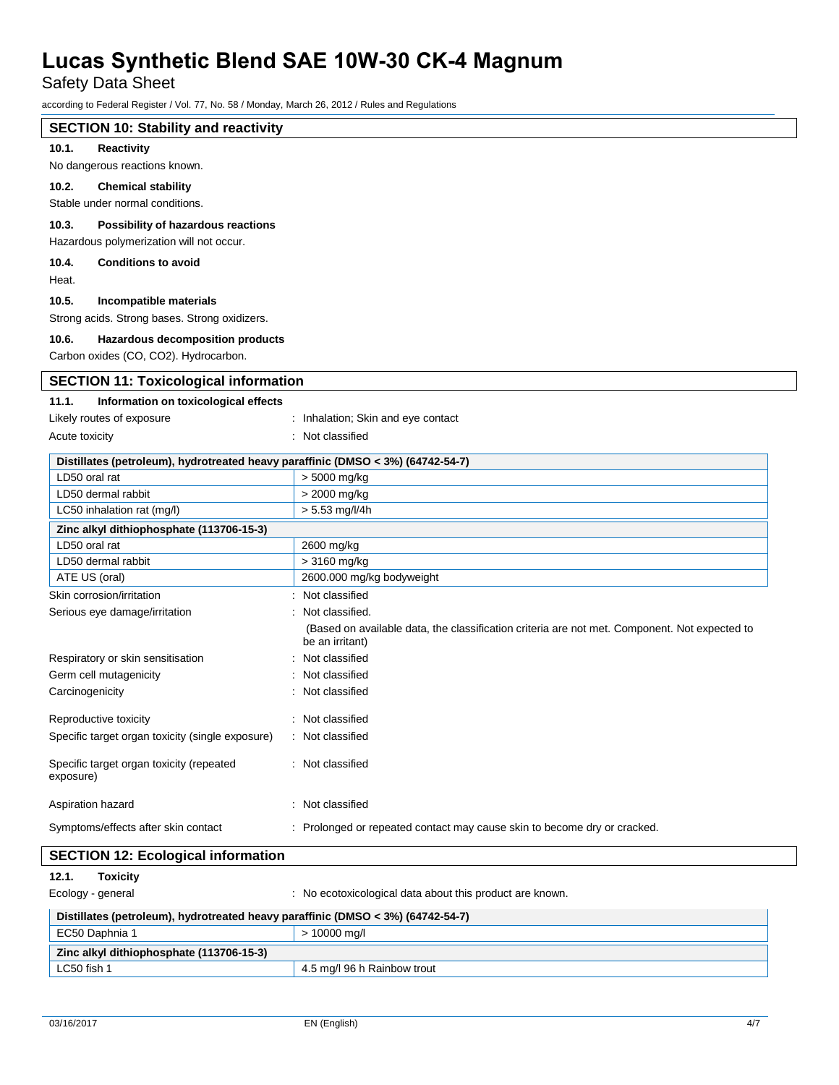Safety Data Sheet

according to Federal Register / Vol. 77, No. 58 / Monday, March 26, 2012 / Rules and Regulations

| 2000 any to Todoran Rogioton / Vol. 11, 110. 00 / Monday, Maron Eo, Eo IE / Raioo and Rogalditone |                                                                                                                  |  |  |
|---------------------------------------------------------------------------------------------------|------------------------------------------------------------------------------------------------------------------|--|--|
| <b>SECTION 10: Stability and reactivity</b>                                                       |                                                                                                                  |  |  |
| 10.1.<br>Reactivity                                                                               |                                                                                                                  |  |  |
| No dangerous reactions known.                                                                     |                                                                                                                  |  |  |
| 10.2.<br><b>Chemical stability</b>                                                                |                                                                                                                  |  |  |
| Stable under normal conditions.                                                                   |                                                                                                                  |  |  |
| 10.3.<br>Possibility of hazardous reactions                                                       |                                                                                                                  |  |  |
| Hazardous polymerization will not occur.                                                          |                                                                                                                  |  |  |
| <b>Conditions to avoid</b><br>10.4.                                                               |                                                                                                                  |  |  |
| Heat.                                                                                             |                                                                                                                  |  |  |
|                                                                                                   |                                                                                                                  |  |  |
| 10.5.<br>Incompatible materials                                                                   |                                                                                                                  |  |  |
| Strong acids. Strong bases. Strong oxidizers.                                                     |                                                                                                                  |  |  |
| 10.6.<br>Hazardous decomposition products                                                         |                                                                                                                  |  |  |
| Carbon oxides (CO, CO2). Hydrocarbon.                                                             |                                                                                                                  |  |  |
| <b>SECTION 11: Toxicological information</b>                                                      |                                                                                                                  |  |  |
| 11.1.<br>Information on toxicological effects                                                     |                                                                                                                  |  |  |
| Likely routes of exposure                                                                         | : Inhalation; Skin and eye contact                                                                               |  |  |
| Acute toxicity                                                                                    | : Not classified                                                                                                 |  |  |
|                                                                                                   |                                                                                                                  |  |  |
| Distillates (petroleum), hydrotreated heavy paraffinic (DMSO < 3%) (64742-54-7)<br>LD50 oral rat  |                                                                                                                  |  |  |
|                                                                                                   | > 5000 mg/kg                                                                                                     |  |  |
| LD50 dermal rabbit<br>LC50 inhalation rat (mg/l)                                                  | > 2000 mg/kg<br>> 5.53 mg/l/4h                                                                                   |  |  |
|                                                                                                   |                                                                                                                  |  |  |
| Zinc alkyl dithiophosphate (113706-15-3)                                                          |                                                                                                                  |  |  |
| LD50 oral rat<br>LD50 dermal rabbit                                                               | 2600 mg/kg                                                                                                       |  |  |
| ATE US (oral)                                                                                     | > 3160 mg/kg<br>2600.000 mg/kg bodyweight                                                                        |  |  |
| Skin corrosion/irritation                                                                         | Not classified                                                                                                   |  |  |
|                                                                                                   |                                                                                                                  |  |  |
| Serious eye damage/irritation                                                                     | Not classified.                                                                                                  |  |  |
|                                                                                                   | (Based on available data, the classification criteria are not met. Component. Not expected to<br>be an irritant) |  |  |
| Respiratory or skin sensitisation                                                                 | Not classified                                                                                                   |  |  |
| Germ cell mutagenicity                                                                            | Not classified                                                                                                   |  |  |
| Carcinogenicity                                                                                   | Not classified                                                                                                   |  |  |
|                                                                                                   |                                                                                                                  |  |  |
| Reproductive toxicity                                                                             | : Not classified                                                                                                 |  |  |
| Specific target organ toxicity (single exposure)                                                  | : Not classified                                                                                                 |  |  |
| Specific target organ toxicity (repeated<br>exposure)                                             | Not classified                                                                                                   |  |  |
| Aspiration hazard                                                                                 | : Not classified                                                                                                 |  |  |
| Symptoms/effects after skin contact                                                               | : Prolonged or repeated contact may cause skin to become dry or cracked.                                         |  |  |

## **SECTION 12: Ecological information**

**12.1. Toxicity** 

Ecology - general interest in the control of the control of the cological data about this product are known.

| Distillates (petroleum), hydrotreated heavy paraffinic (DMSO < 3%) (64742-54-7) |                             |
|---------------------------------------------------------------------------------|-----------------------------|
| EC50 Daphnia 1                                                                  | > 10000 ma/l                |
| Zinc alkyl dithiophosphate (113706-15-3)                                        |                             |
| LC50 fish 1                                                                     | 4.5 mg/l 96 h Rainbow trout |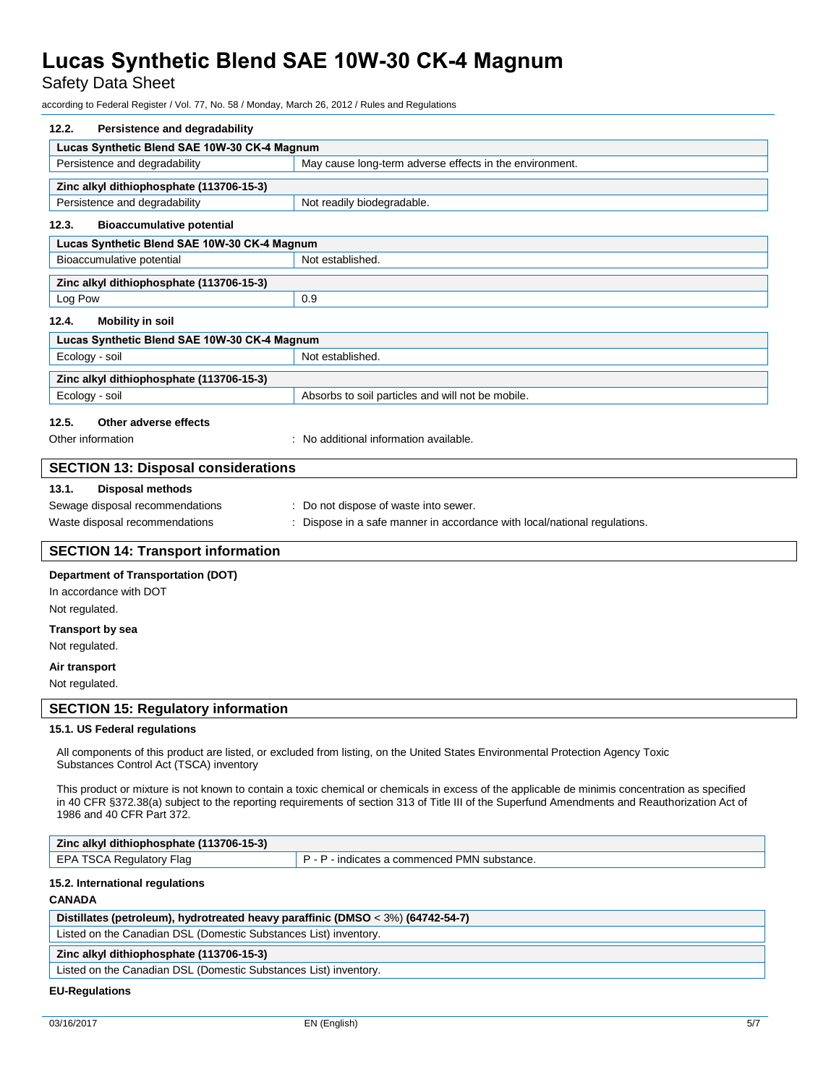Safety Data Sheet

according to Federal Register / Vol. 77, No. 58 / Monday, March 26, 2012 / Rules and Regulations

| 12.2.<br>Persistence and degradability                                                                                                                                                                                                                                                           |                                                                           |  |
|--------------------------------------------------------------------------------------------------------------------------------------------------------------------------------------------------------------------------------------------------------------------------------------------------|---------------------------------------------------------------------------|--|
| Lucas Synthetic Blend SAE 10W-30 CK-4 Magnum                                                                                                                                                                                                                                                     |                                                                           |  |
| Persistence and degradability                                                                                                                                                                                                                                                                    | May cause long-term adverse effects in the environment.                   |  |
| Zinc alkyl dithiophosphate (113706-15-3)                                                                                                                                                                                                                                                         |                                                                           |  |
| Persistence and degradability                                                                                                                                                                                                                                                                    | Not readily biodegradable.                                                |  |
| 12.3.<br><b>Bioaccumulative potential</b>                                                                                                                                                                                                                                                        |                                                                           |  |
| Lucas Synthetic Blend SAE 10W-30 CK-4 Magnum                                                                                                                                                                                                                                                     |                                                                           |  |
| Bioaccumulative potential                                                                                                                                                                                                                                                                        | Not established.                                                          |  |
|                                                                                                                                                                                                                                                                                                  |                                                                           |  |
| Zinc alkyl dithiophosphate (113706-15-3)                                                                                                                                                                                                                                                         |                                                                           |  |
| Log Pow                                                                                                                                                                                                                                                                                          | 0.9                                                                       |  |
| 12.4.<br><b>Mobility in soil</b>                                                                                                                                                                                                                                                                 |                                                                           |  |
| Lucas Synthetic Blend SAE 10W-30 CK-4 Magnum                                                                                                                                                                                                                                                     |                                                                           |  |
| Ecology - soil                                                                                                                                                                                                                                                                                   | Not established.                                                          |  |
| Zinc alkyl dithiophosphate (113706-15-3)                                                                                                                                                                                                                                                         |                                                                           |  |
| Ecology - soil                                                                                                                                                                                                                                                                                   | Absorbs to soil particles and will not be mobile.                         |  |
| 12.5.<br>Other adverse effects                                                                                                                                                                                                                                                                   |                                                                           |  |
| Other information                                                                                                                                                                                                                                                                                | : No additional information available.                                    |  |
|                                                                                                                                                                                                                                                                                                  |                                                                           |  |
| <b>SECTION 13: Disposal considerations</b>                                                                                                                                                                                                                                                       |                                                                           |  |
| 13.1.<br><b>Disposal methods</b>                                                                                                                                                                                                                                                                 |                                                                           |  |
| Sewage disposal recommendations                                                                                                                                                                                                                                                                  | : Do not dispose of waste into sewer.                                     |  |
| Waste disposal recommendations                                                                                                                                                                                                                                                                   | : Dispose in a safe manner in accordance with local/national regulations. |  |
| <b>SECTION 14: Transport information</b>                                                                                                                                                                                                                                                         |                                                                           |  |
|                                                                                                                                                                                                                                                                                                  |                                                                           |  |
| <b>Department of Transportation (DOT)</b>                                                                                                                                                                                                                                                        |                                                                           |  |
| In accordance with DOT                                                                                                                                                                                                                                                                           |                                                                           |  |
| Not regulated.                                                                                                                                                                                                                                                                                   |                                                                           |  |
| <b>Transport by sea</b>                                                                                                                                                                                                                                                                          |                                                                           |  |
| Not regulated.                                                                                                                                                                                                                                                                                   |                                                                           |  |
| Air transport                                                                                                                                                                                                                                                                                    |                                                                           |  |
| Not regulated.                                                                                                                                                                                                                                                                                   |                                                                           |  |
| <b>SECTION 15: Regulatory information</b>                                                                                                                                                                                                                                                        |                                                                           |  |
| 15.1. US Federal regulations                                                                                                                                                                                                                                                                     |                                                                           |  |
|                                                                                                                                                                                                                                                                                                  |                                                                           |  |
| All components of this product are listed, or excluded from listing, on the United States Environmental Protection Agency Toxic<br>Substances Control Act (TSCA) inventory                                                                                                                       |                                                                           |  |
|                                                                                                                                                                                                                                                                                                  |                                                                           |  |
| This product or mixture is not known to contain a toxic chemical or chemicals in excess of the applicable de minimis concentration as specified<br>in 40 CFR §372.38(a) subject to the reporting requirements of section 313 of Title III of the Superfund Amendments and Reauthorization Act of |                                                                           |  |
| 1986 and 40 CFR Part 372.                                                                                                                                                                                                                                                                        |                                                                           |  |
| Zinc alkyl dithiophosphate (113706-15-3)                                                                                                                                                                                                                                                         |                                                                           |  |
| EPA TSCA Regulatory Flag                                                                                                                                                                                                                                                                         | P - P - indicates a commenced PMN substance.                              |  |
|                                                                                                                                                                                                                                                                                                  |                                                                           |  |
| 15.2. International regulations                                                                                                                                                                                                                                                                  |                                                                           |  |
| <b>CANADA</b>                                                                                                                                                                                                                                                                                    |                                                                           |  |
| Distillates (petroleum), hydrotreated heavy paraffinic (DMSO < 3%) (64742-54-7)                                                                                                                                                                                                                  |                                                                           |  |
| Listed on the Canadian DSL (Domestic Substances List) inventory.                                                                                                                                                                                                                                 |                                                                           |  |
| Zinc alkyl dithiophosphate (113706-15-3)                                                                                                                                                                                                                                                         |                                                                           |  |
| Listed on the Canadian DSL (Domestic Substances List) inventory.                                                                                                                                                                                                                                 |                                                                           |  |

 $\overline{\phantom{a}}$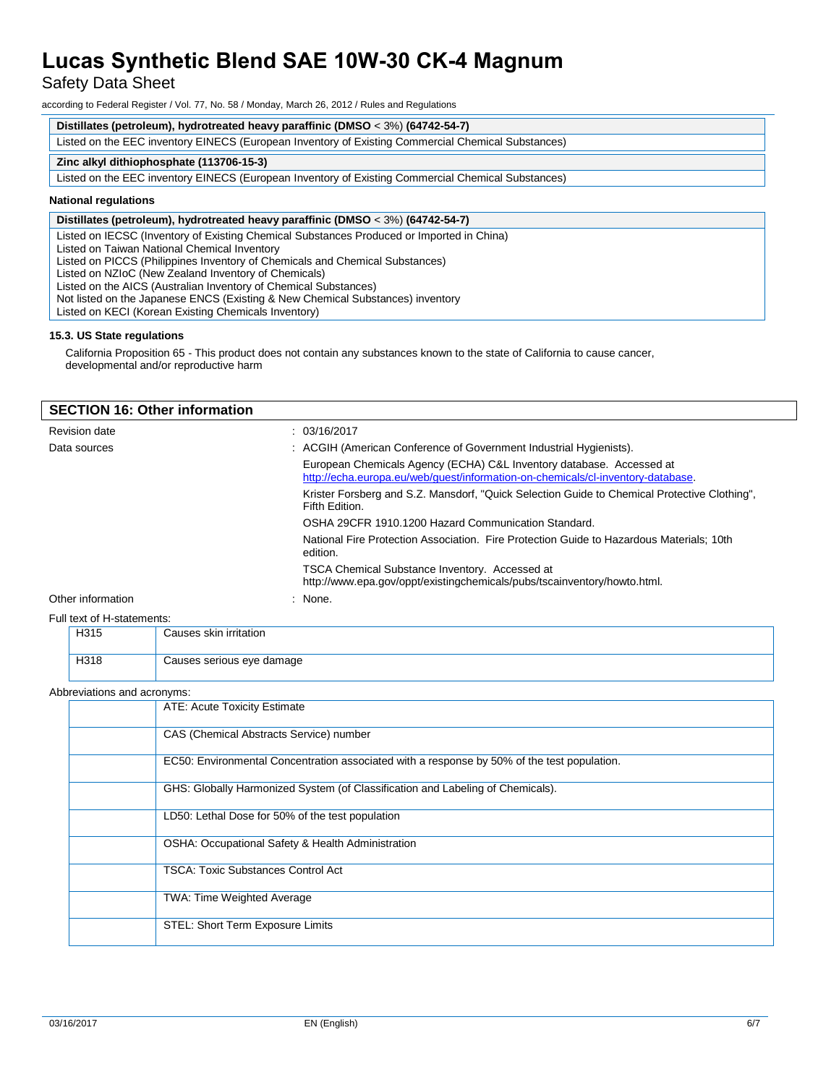Safety Data Sheet

according to Federal Register / Vol. 77, No. 58 / Monday, March 26, 2012 / Rules and Regulations

#### **Distillates (petroleum), hydrotreated heavy paraffinic (DMSO** < 3%) **(64742-54-7)**

Listed on the EEC inventory EINECS (European Inventory of Existing Commercial Chemical Substances)

#### **Zinc alkyl dithiophosphate (113706-15-3)**

Listed on the EEC inventory EINECS (European Inventory of Existing Commercial Chemical Substances)

#### **National regulations**

#### **Distillates (petroleum), hydrotreated heavy paraffinic (DMSO** < 3%) **(64742-54-7)**

Listed on IECSC (Inventory of Existing Chemical Substances Produced or Imported in China)

Listed on Taiwan National Chemical Inventory

Listed on PICCS (Philippines Inventory of Chemicals and Chemical Substances)

Listed on NZIoC (New Zealand Inventory of Chemicals)

Listed on the AICS (Australian Inventory of Chemical Substances)

Not listed on the Japanese ENCS (Existing & New Chemical Substances) inventory

Listed on KECI (Korean Existing Chemicals Inventory)

#### **15.3. US State regulations**

California Proposition 65 - This product does not contain any substances known to the state of California to cause cancer, developmental and/or reproductive harm

| <b>SECTION 16: Other information</b> |                                                                                                                                                         |  |
|--------------------------------------|---------------------------------------------------------------------------------------------------------------------------------------------------------|--|
| <b>Revision date</b>                 | : 03/16/2017                                                                                                                                            |  |
| Data sources                         | : ACGIH (American Conference of Government Industrial Hygienists).                                                                                      |  |
|                                      | European Chemicals Agency (ECHA) C&L Inventory database. Accessed at<br>http://echa.europa.eu/web/quest/information-on-chemicals/cl-inventory-database. |  |
|                                      | Krister Forsberg and S.Z. Mansdorf, "Quick Selection Guide to Chemical Protective Clothing",<br>Fifth Edition.                                          |  |
|                                      | OSHA 29CFR 1910.1200 Hazard Communication Standard.                                                                                                     |  |
|                                      | National Fire Protection Association. Fire Protection Guide to Hazardous Materials: 10th<br>edition.                                                    |  |
|                                      | TSCA Chemical Substance Inventory. Accessed at<br>http://www.epa.gov/oppt/existingchemicals/pubs/tscainventory/howto.html.                              |  |
| Other information                    | : None.                                                                                                                                                 |  |
| Full text of H-statements:           |                                                                                                                                                         |  |

| H315 | Causes skin irritation    |
|------|---------------------------|
|      |                           |
| H318 | Causes serious eye damage |

#### Abbreviations and acronyms:

| ATE: Acute Toxicity Estimate                                                                |
|---------------------------------------------------------------------------------------------|
| CAS (Chemical Abstracts Service) number                                                     |
| EC50: Environmental Concentration associated with a response by 50% of the test population. |
| GHS: Globally Harmonized System (of Classification and Labeling of Chemicals).              |
| LD50: Lethal Dose for 50% of the test population                                            |
| OSHA: Occupational Safety & Health Administration                                           |
| <b>TSCA: Toxic Substances Control Act</b>                                                   |
| TWA: Time Weighted Average                                                                  |
| STEL: Short Term Exposure Limits                                                            |
|                                                                                             |